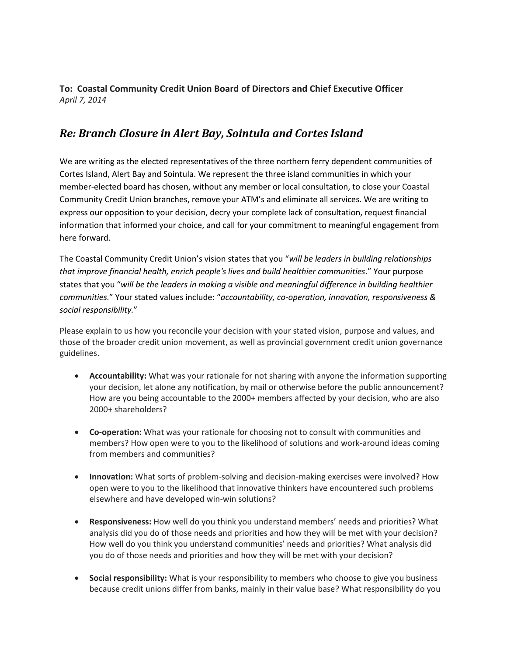**To: Coastal Community Credit Union Board of Directors and Chief Executive Officer** *April 7, 2014*

## *Re: Branch Closure in Alert Bay, Sointula and Cortes Island*

We are writing as the elected representatives of the three northern ferry dependent communities of Cortes Island, Alert Bay and Sointula. We represent the three island communities in which your member-elected board has chosen, without any member or local consultation, to close your Coastal Community Credit Union branches, remove your ATM's and eliminate all services. We are writing to express our opposition to your decision, decry your complete lack of consultation, request financial information that informed your choice, and call for your commitment to meaningful engagement from here forward.

The Coastal Community Credit Union's vision states that you "*will be leaders in building relationships that improve financial health, enrich people's lives and build healthier communities*." Your purpose states that you "*will be the leaders in making a visible and meaningful difference in building healthier communities.*" Your stated values include: "*accountability, co-operation, innovation, responsiveness & social responsibility.*"

Please explain to us how you reconcile your decision with your stated vision, purpose and values, and those of the broader credit union movement, as well as provincial government credit union governance guidelines.

- **Accountability:** What was your rationale for not sharing with anyone the information supporting your decision, let alone any notification, by mail or otherwise before the public announcement? How are you being accountable to the 2000+ members affected by your decision, who are also 2000+ shareholders?
- **Co-operation:** What was your rationale for choosing not to consult with communities and members? How open were to you to the likelihood of solutions and work-around ideas coming from members and communities?
- **Innovation:** What sorts of problem-solving and decision-making exercises were involved? How open were to you to the likelihood that innovative thinkers have encountered such problems elsewhere and have developed win-win solutions?
- **Responsiveness:** How well do you think you understand members' needs and priorities? What analysis did you do of those needs and priorities and how they will be met with your decision? How well do you think you understand communities' needs and priorities? What analysis did you do of those needs and priorities and how they will be met with your decision?
- **Social responsibility:** What is your responsibility to members who choose to give you business because credit unions differ from banks, mainly in their value base? What responsibility do you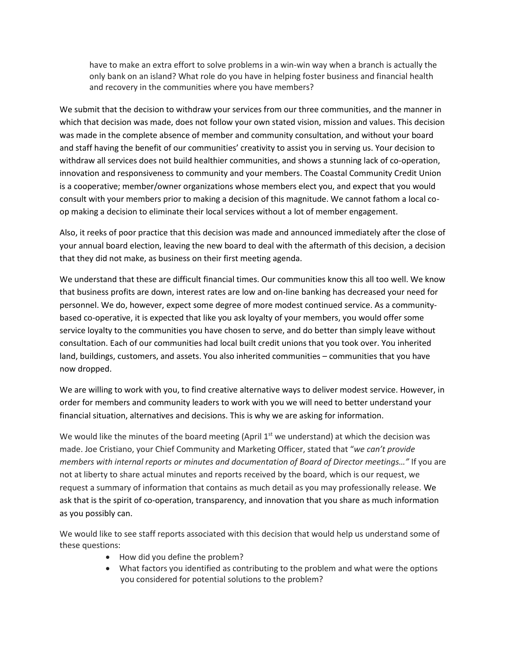have to make an extra effort to solve problems in a win-win way when a branch is actually the only bank on an island? What role do you have in helping foster business and financial health and recovery in the communities where you have members?

We submit that the decision to withdraw your services from our three communities, and the manner in which that decision was made, does not follow your own stated vision, mission and values. This decision was made in the complete absence of member and community consultation, and without your board and staff having the benefit of our communities' creativity to assist you in serving us. Your decision to withdraw all services does not build healthier communities, and shows a stunning lack of co-operation, innovation and responsiveness to community and your members. The Coastal Community Credit Union is a cooperative; member/owner organizations whose members elect you, and expect that you would consult with your members prior to making a decision of this magnitude. We cannot fathom a local coop making a decision to eliminate their local services without a lot of member engagement.

Also, it reeks of poor practice that this decision was made and announced immediately after the close of your annual board election, leaving the new board to deal with the aftermath of this decision, a decision that they did not make, as business on their first meeting agenda.

We understand that these are difficult financial times. Our communities know this all too well. We know that business profits are down, interest rates are low and on-line banking has decreased your need for personnel. We do, however, expect some degree of more modest continued service. As a communitybased co-operative, it is expected that like you ask loyalty of your members, you would offer some service loyalty to the communities you have chosen to serve, and do better than simply leave without consultation. Each of our communities had local built credit unions that you took over. You inherited land, buildings, customers, and assets. You also inherited communities – communities that you have now dropped.

We are willing to work with you, to find creative alternative ways to deliver modest service. However, in order for members and community leaders to work with you we will need to better understand your financial situation, alternatives and decisions. This is why we are asking for information.

We would like the minutes of the board meeting (April  $1<sup>st</sup>$  we understand) at which the decision was made. Joe Cristiano, your Chief Community and Marketing Officer, stated that "*we can't provide members with internal reports or minutes and documentation of Board of Director meetings…"* If you are not at liberty to share actual minutes and reports received by the board, which is our request, we request a summary of information that contains as much detail as you may professionally release. We ask that is the spirit of co-operation, transparency, and innovation that you share as much information as you possibly can.

We would like to see staff reports associated with this decision that would help us understand some of these questions:

- How did you define the problem?
- What factors you identified as contributing to the problem and what were the options you considered for potential solutions to the problem?